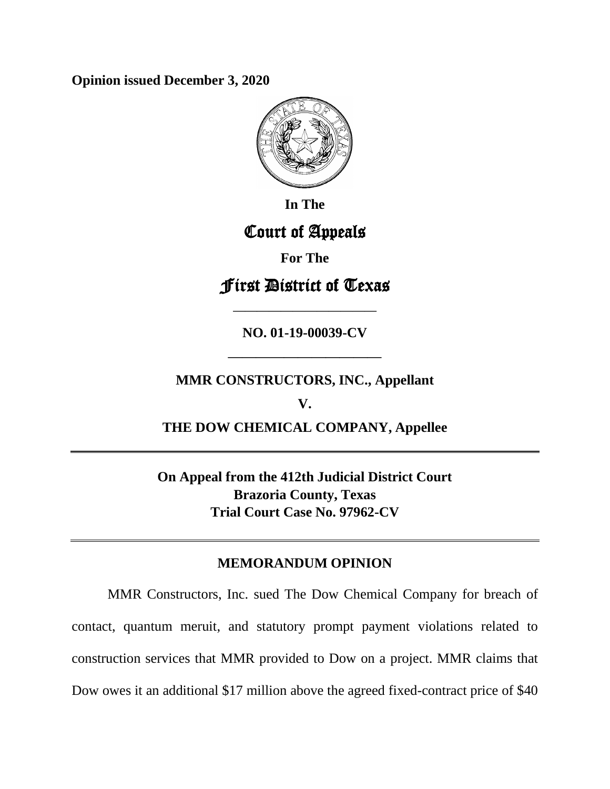**Opinion issued December 3, 2020**



**In The**

# Court of Appeals

**For The**

# First District of Texas

**NO. 01-19-00039-CV**

**————————————**

## **MMR CONSTRUCTORS, INC., Appellant**

**———————————**

**V.**

**THE DOW CHEMICAL COMPANY, Appellee**

**On Appeal from the 412th Judicial District Court Brazoria County, Texas Trial Court Case No. 97962-CV**

## **MEMORANDUM OPINION**

MMR Constructors, Inc. sued The Dow Chemical Company for breach of contact, quantum meruit, and statutory prompt payment violations related to construction services that MMR provided to Dow on a project. MMR claims that Dow owes it an additional \$17 million above the agreed fixed-contract price of \$40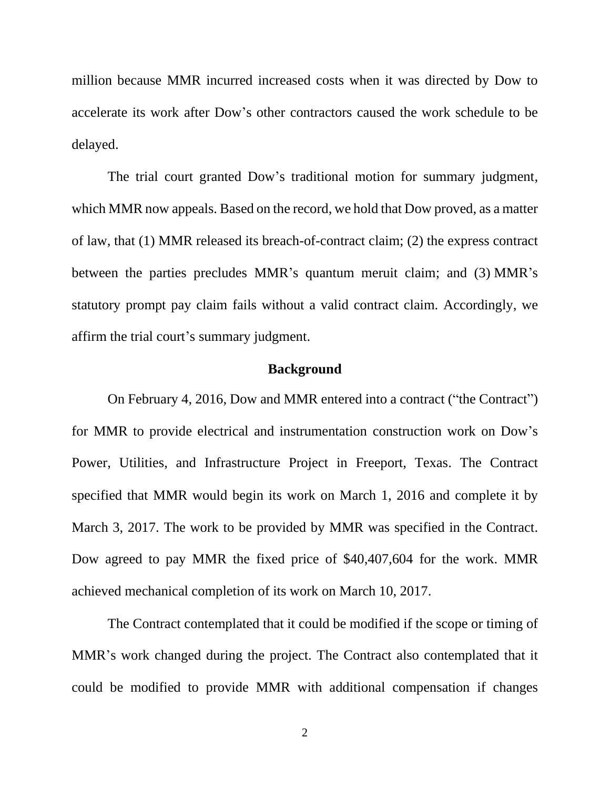million because MMR incurred increased costs when it was directed by Dow to accelerate its work after Dow's other contractors caused the work schedule to be delayed.

The trial court granted Dow's traditional motion for summary judgment, which MMR now appeals. Based on the record, we hold that Dow proved, as a matter of law, that (1) MMR released its breach-of-contract claim; (2) the express contract between the parties precludes MMR's quantum meruit claim; and (3) MMR's statutory prompt pay claim fails without a valid contract claim. Accordingly, we affirm the trial court's summary judgment.

### **Background**

On February 4, 2016, Dow and MMR entered into a contract ("the Contract") for MMR to provide electrical and instrumentation construction work on Dow's Power, Utilities, and Infrastructure Project in Freeport, Texas. The Contract specified that MMR would begin its work on March 1, 2016 and complete it by March 3, 2017. The work to be provided by MMR was specified in the Contract. Dow agreed to pay MMR the fixed price of \$40,407,604 for the work. MMR achieved mechanical completion of its work on March 10, 2017.

The Contract contemplated that it could be modified if the scope or timing of MMR's work changed during the project. The Contract also contemplated that it could be modified to provide MMR with additional compensation if changes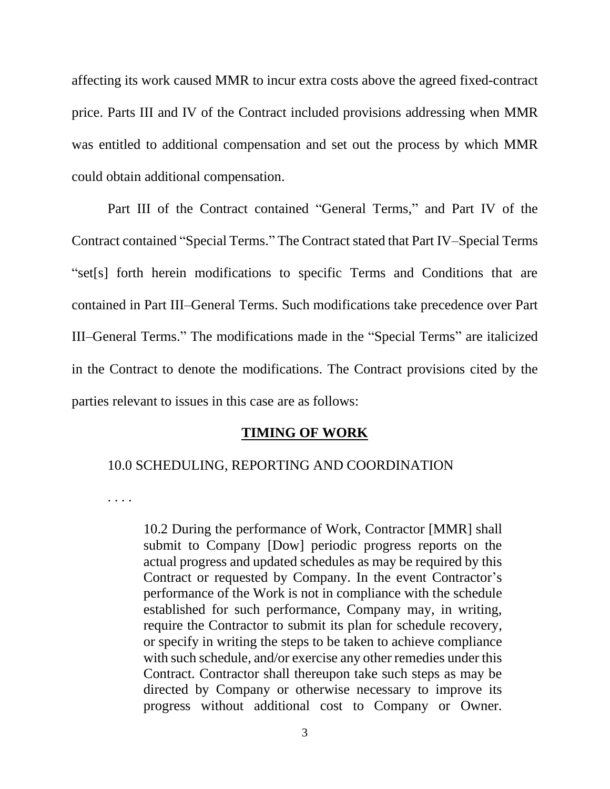affecting its work caused MMR to incur extra costs above the agreed fixed-contract price. Parts III and IV of the Contract included provisions addressing when MMR was entitled to additional compensation and set out the process by which MMR could obtain additional compensation.

Part III of the Contract contained "General Terms," and Part IV of the Contract contained "Special Terms." The Contract stated that Part IV–Special Terms "set[s] forth herein modifications to specific Terms and Conditions that are contained in Part III–General Terms. Such modifications take precedence over Part III–General Terms." The modifications made in the "Special Terms" are italicized in the Contract to denote the modifications. The Contract provisions cited by the parties relevant to issues in this case are as follows:

#### **TIMING OF WORK**

#### 10.0 SCHEDULING, REPORTING AND COORDINATION

. . . .

10.2 During the performance of Work, Contractor [MMR] shall submit to Company [Dow] periodic progress reports on the actual progress and updated schedules as may be required by this Contract or requested by Company. In the event Contractor's performance of the Work is not in compliance with the schedule established for such performance, Company may, in writing, require the Contractor to submit its plan for schedule recovery, or specify in writing the steps to be taken to achieve compliance with such schedule, and/or exercise any other remedies under this Contract. Contractor shall thereupon take such steps as may be directed by Company or otherwise necessary to improve its progress without additional cost to Company or Owner.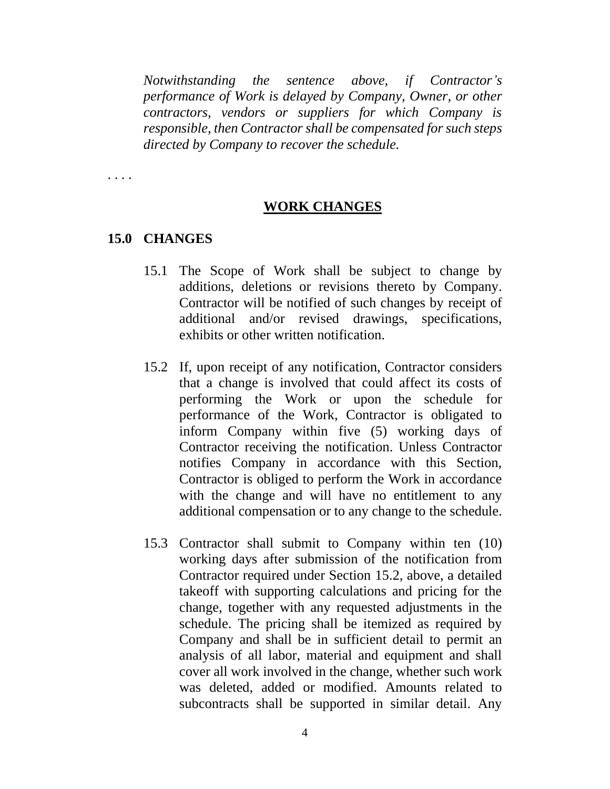*Notwithstanding the sentence above, if Contractor's performance of Work is delayed by Company, Owner, or other contractors, vendors or suppliers for which Company is responsible, then Contractor shall be compensated for such steps directed by Company to recover the schedule.*

. . . .

### **WORK CHANGES**

## **15.0 CHANGES**

- 15.1 The Scope of Work shall be subject to change by additions, deletions or revisions thereto by Company. Contractor will be notified of such changes by receipt of additional and/or revised drawings, specifications, exhibits or other written notification.
- 15.2 If, upon receipt of any notification, Contractor considers that a change is involved that could affect its costs of performing the Work or upon the schedule for performance of the Work, Contractor is obligated to inform Company within five (5) working days of Contractor receiving the notification. Unless Contractor notifies Company in accordance with this Section, Contractor is obliged to perform the Work in accordance with the change and will have no entitlement to any additional compensation or to any change to the schedule.
- 15.3 Contractor shall submit to Company within ten (10) working days after submission of the notification from Contractor required under Section 15.2, above, a detailed takeoff with supporting calculations and pricing for the change, together with any requested adjustments in the schedule. The pricing shall be itemized as required by Company and shall be in sufficient detail to permit an analysis of all labor, material and equipment and shall cover all work involved in the change, whether such work was deleted, added or modified. Amounts related to subcontracts shall be supported in similar detail. Any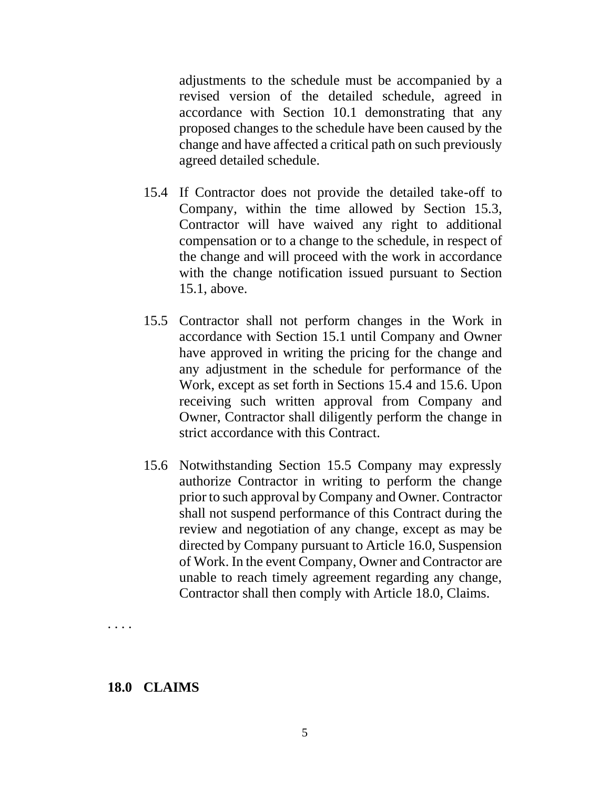adjustments to the schedule must be accompanied by a revised version of the detailed schedule, agreed in accordance with Section 10.1 demonstrating that any proposed changes to the schedule have been caused by the change and have affected a critical path on such previously agreed detailed schedule.

- 15.4 If Contractor does not provide the detailed take-off to Company, within the time allowed by Section 15.3, Contractor will have waived any right to additional compensation or to a change to the schedule, in respect of the change and will proceed with the work in accordance with the change notification issued pursuant to Section 15.1, above.
- 15.5 Contractor shall not perform changes in the Work in accordance with Section 15.1 until Company and Owner have approved in writing the pricing for the change and any adjustment in the schedule for performance of the Work, except as set forth in Sections 15.4 and 15.6. Upon receiving such written approval from Company and Owner, Contractor shall diligently perform the change in strict accordance with this Contract.
- 15.6 Notwithstanding Section 15.5 Company may expressly authorize Contractor in writing to perform the change prior to such approval by Company and Owner. Contractor shall not suspend performance of this Contract during the review and negotiation of any change, except as may be directed by Company pursuant to Article 16.0, Suspension of Work. In the event Company, Owner and Contractor are unable to reach timely agreement regarding any change, Contractor shall then comply with Article 18.0, Claims.

. . . .

### **18.0 CLAIMS**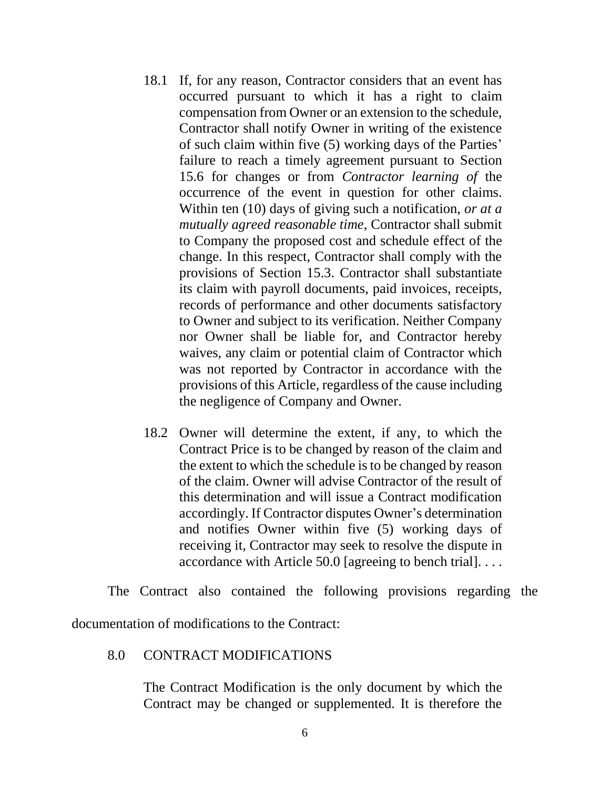- 18.1 If, for any reason, Contractor considers that an event has occurred pursuant to which it has a right to claim compensation from Owner or an extension to the schedule, Contractor shall notify Owner in writing of the existence of such claim within five (5) working days of the Parties' failure to reach a timely agreement pursuant to Section 15.6 for changes or from *Contractor learning of* the occurrence of the event in question for other claims. Within ten (10) days of giving such a notification, *or at a mutually agreed reasonable time*, Contractor shall submit to Company the proposed cost and schedule effect of the change. In this respect, Contractor shall comply with the provisions of Section 15.3. Contractor shall substantiate its claim with payroll documents, paid invoices, receipts, records of performance and other documents satisfactory to Owner and subject to its verification. Neither Company nor Owner shall be liable for, and Contractor hereby waives, any claim or potential claim of Contractor which was not reported by Contractor in accordance with the provisions of this Article, regardless of the cause including the negligence of Company and Owner.
- 18.2 Owner will determine the extent, if any, to which the Contract Price is to be changed by reason of the claim and the extent to which the schedule is to be changed by reason of the claim. Owner will advise Contractor of the result of this determination and will issue a Contract modification accordingly. If Contractor disputes Owner's determination and notifies Owner within five (5) working days of receiving it, Contractor may seek to resolve the dispute in accordance with Article 50.0 [agreeing to bench trial]. . . .

The Contract also contained the following provisions regarding the documentation of modifications to the Contract:

## 8.0 CONTRACT MODIFICATIONS

The Contract Modification is the only document by which the Contract may be changed or supplemented. It is therefore the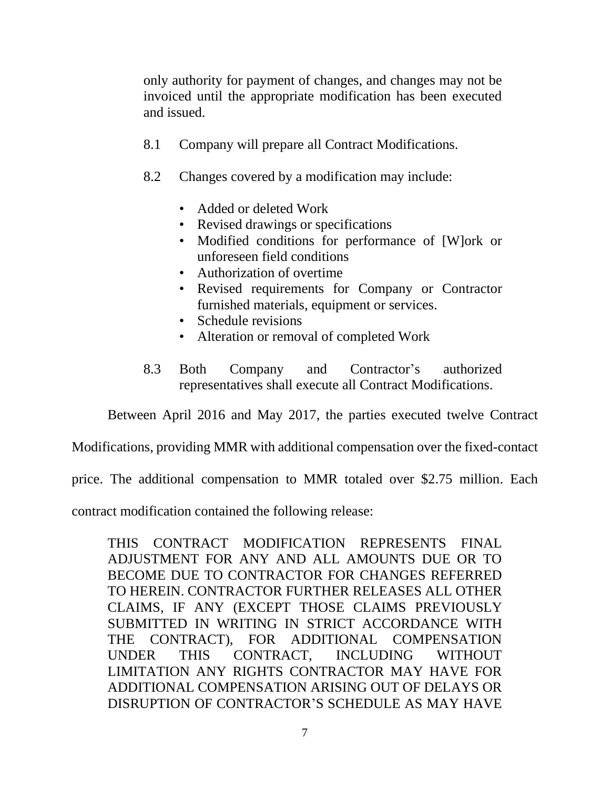only authority for payment of changes, and changes may not be invoiced until the appropriate modification has been executed and issued.

- 8.1 Company will prepare all Contract Modifications.
- 8.2 Changes covered by a modification may include:
	- Added or deleted Work
	- Revised drawings or specifications
	- Modified conditions for performance of [W]ork or unforeseen field conditions
	- Authorization of overtime
	- Revised requirements for Company or Contractor furnished materials, equipment or services.
	- Schedule revisions
	- Alteration or removal of completed Work
- 8.3 Both Company and Contractor's authorized representatives shall execute all Contract Modifications.

Between April 2016 and May 2017, the parties executed twelve Contract

Modifications, providing MMR with additional compensation over the fixed-contact

price. The additional compensation to MMR totaled over \$2.75 million. Each

contract modification contained the following release:

THIS CONTRACT MODIFICATION REPRESENTS FINAL ADJUSTMENT FOR ANY AND ALL AMOUNTS DUE OR TO BECOME DUE TO CONTRACTOR FOR CHANGES REFERRED TO HEREIN. CONTRACTOR FURTHER RELEASES ALL OTHER CLAIMS, IF ANY (EXCEPT THOSE CLAIMS PREVIOUSLY SUBMITTED IN WRITING IN STRICT ACCORDANCE WITH THE CONTRACT), FOR ADDITIONAL COMPENSATION UNDER THIS CONTRACT, INCLUDING WITHOUT LIMITATION ANY RIGHTS CONTRACTOR MAY HAVE FOR ADDITIONAL COMPENSATION ARISING OUT OF DELAYS OR DISRUPTION OF CONTRACTOR'S SCHEDULE AS MAY HAVE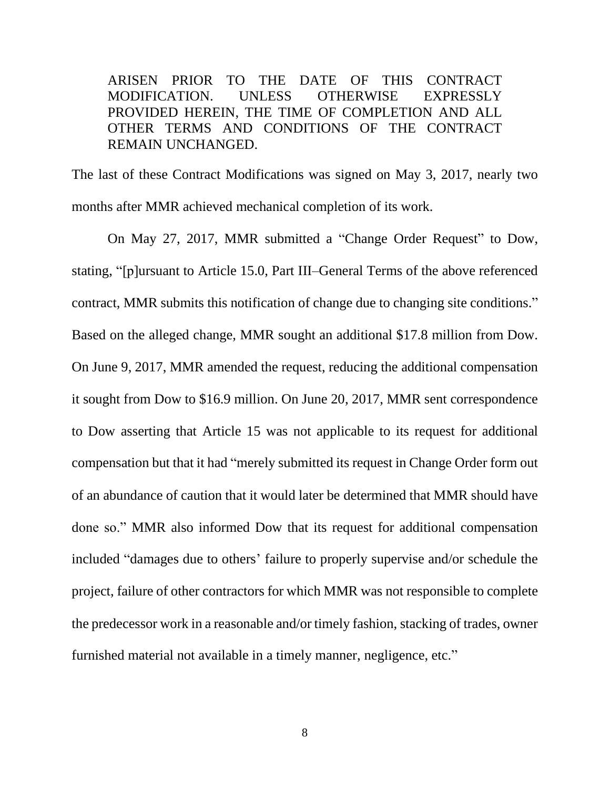ARISEN PRIOR TO THE DATE OF THIS CONTRACT MODIFICATION. UNLESS OTHERWISE EXPRESSLY PROVIDED HEREIN, THE TIME OF COMPLETION AND ALL OTHER TERMS AND CONDITIONS OF THE CONTRACT REMAIN UNCHANGED.

The last of these Contract Modifications was signed on May 3, 2017, nearly two months after MMR achieved mechanical completion of its work.

On May 27, 2017, MMR submitted a "Change Order Request" to Dow, stating, "[p]ursuant to Article 15.0, Part III–General Terms of the above referenced contract, MMR submits this notification of change due to changing site conditions." Based on the alleged change, MMR sought an additional \$17.8 million from Dow. On June 9, 2017, MMR amended the request, reducing the additional compensation it sought from Dow to \$16.9 million. On June 20, 2017, MMR sent correspondence to Dow asserting that Article 15 was not applicable to its request for additional compensation but that it had "merely submitted its request in Change Order form out of an abundance of caution that it would later be determined that MMR should have done so." MMR also informed Dow that its request for additional compensation included "damages due to others' failure to properly supervise and/or schedule the project, failure of other contractors for which MMR was not responsible to complete the predecessor work in a reasonable and/or timely fashion, stacking of trades, owner furnished material not available in a timely manner, negligence, etc."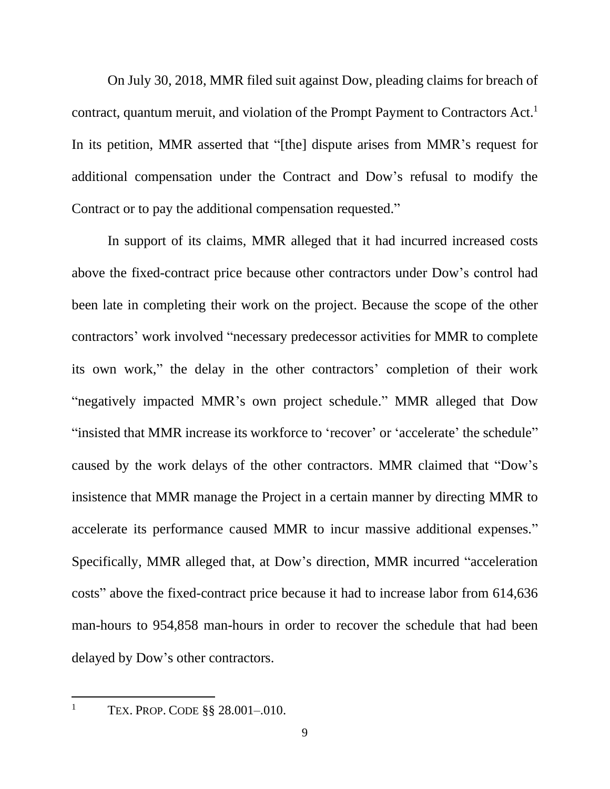On July 30, 2018, MMR filed suit against Dow, pleading claims for breach of contract, quantum meruit, and violation of the Prompt Payment to Contractors Act. 1 In its petition, MMR asserted that "[the] dispute arises from MMR's request for additional compensation under the Contract and Dow's refusal to modify the Contract or to pay the additional compensation requested."

In support of its claims, MMR alleged that it had incurred increased costs above the fixed-contract price because other contractors under Dow's control had been late in completing their work on the project. Because the scope of the other contractors' work involved "necessary predecessor activities for MMR to complete its own work," the delay in the other contractors' completion of their work "negatively impacted MMR's own project schedule." MMR alleged that Dow "insisted that MMR increase its workforce to 'recover' or 'accelerate' the schedule" caused by the work delays of the other contractors. MMR claimed that "Dow's insistence that MMR manage the Project in a certain manner by directing MMR to accelerate its performance caused MMR to incur massive additional expenses." Specifically, MMR alleged that, at Dow's direction, MMR incurred "acceleration costs" above the fixed-contract price because it had to increase labor from 614,636 man-hours to 954,858 man-hours in order to recover the schedule that had been delayed by Dow's other contractors.

<sup>&</sup>lt;sup>1</sup> TEX. PROP. CODE §§ 28.001-.010.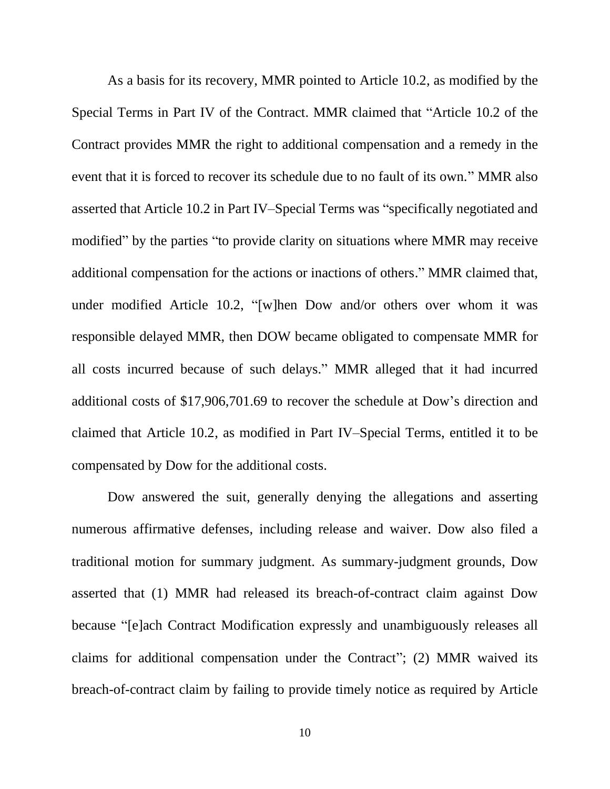As a basis for its recovery, MMR pointed to Article 10.2, as modified by the Special Terms in Part IV of the Contract. MMR claimed that "Article 10.2 of the Contract provides MMR the right to additional compensation and a remedy in the event that it is forced to recover its schedule due to no fault of its own." MMR also asserted that Article 10.2 in Part IV–Special Terms was "specifically negotiated and modified" by the parties "to provide clarity on situations where MMR may receive additional compensation for the actions or inactions of others." MMR claimed that, under modified Article 10.2, "[w]hen Dow and/or others over whom it was responsible delayed MMR, then DOW became obligated to compensate MMR for all costs incurred because of such delays." MMR alleged that it had incurred additional costs of \$17,906,701.69 to recover the schedule at Dow's direction and claimed that Article 10.2, as modified in Part IV–Special Terms, entitled it to be compensated by Dow for the additional costs.

Dow answered the suit, generally denying the allegations and asserting numerous affirmative defenses, including release and waiver. Dow also filed a traditional motion for summary judgment. As summary-judgment grounds, Dow asserted that (1) MMR had released its breach-of-contract claim against Dow because "[e]ach Contract Modification expressly and unambiguously releases all claims for additional compensation under the Contract"; (2) MMR waived its breach-of-contract claim by failing to provide timely notice as required by Article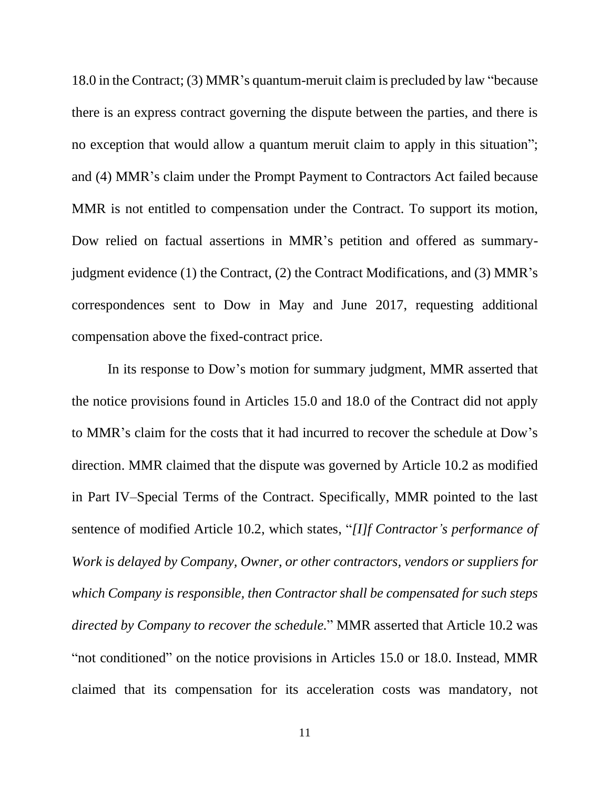18.0 in the Contract; (3) MMR's quantum-meruit claim is precluded by law "because there is an express contract governing the dispute between the parties, and there is no exception that would allow a quantum meruit claim to apply in this situation"; and (4) MMR's claim under the Prompt Payment to Contractors Act failed because MMR is not entitled to compensation under the Contract. To support its motion, Dow relied on factual assertions in MMR's petition and offered as summaryjudgment evidence (1) the Contract, (2) the Contract Modifications, and (3) MMR's correspondences sent to Dow in May and June 2017, requesting additional compensation above the fixed-contract price.

In its response to Dow's motion for summary judgment, MMR asserted that the notice provisions found in Articles 15.0 and 18.0 of the Contract did not apply to MMR's claim for the costs that it had incurred to recover the schedule at Dow's direction. MMR claimed that the dispute was governed by Article 10.2 as modified in Part IV–Special Terms of the Contract. Specifically, MMR pointed to the last sentence of modified Article 10.2, which states, "*[I]f Contractor's performance of Work is delayed by Company, Owner, or other contractors, vendors or suppliers for which Company is responsible, then Contractor shall be compensated for such steps directed by Company to recover the schedule.*" MMR asserted that Article 10.2 was "not conditioned" on the notice provisions in Articles 15.0 or 18.0. Instead, MMR claimed that its compensation for its acceleration costs was mandatory, not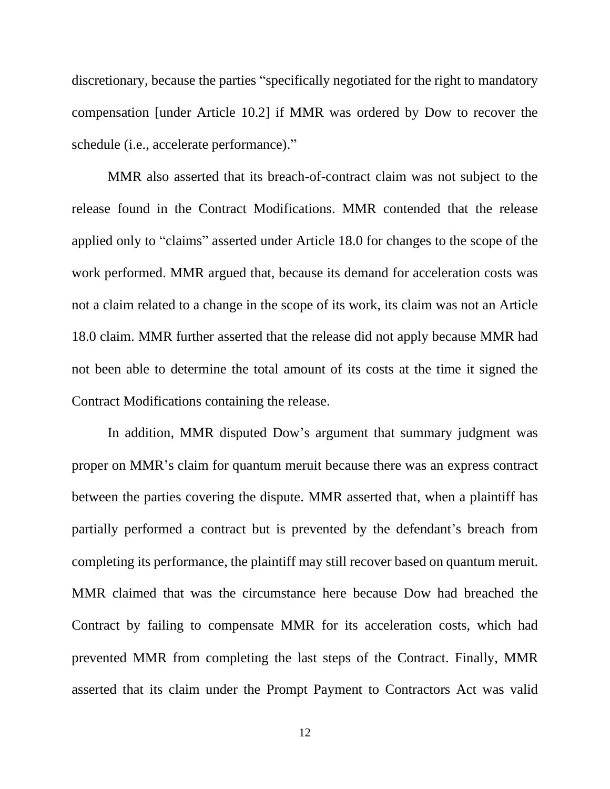discretionary, because the parties "specifically negotiated for the right to mandatory compensation [under Article 10.2] if MMR was ordered by Dow to recover the schedule (i.e., accelerate performance)."

MMR also asserted that its breach-of-contract claim was not subject to the release found in the Contract Modifications. MMR contended that the release applied only to "claims" asserted under Article 18.0 for changes to the scope of the work performed. MMR argued that, because its demand for acceleration costs was not a claim related to a change in the scope of its work, its claim was not an Article 18.0 claim. MMR further asserted that the release did not apply because MMR had not been able to determine the total amount of its costs at the time it signed the Contract Modifications containing the release.

In addition, MMR disputed Dow's argument that summary judgment was proper on MMR's claim for quantum meruit because there was an express contract between the parties covering the dispute. MMR asserted that, when a plaintiff has partially performed a contract but is prevented by the defendant's breach from completing its performance, the plaintiff may still recover based on quantum meruit. MMR claimed that was the circumstance here because Dow had breached the Contract by failing to compensate MMR for its acceleration costs, which had prevented MMR from completing the last steps of the Contract. Finally, MMR asserted that its claim under the Prompt Payment to Contractors Act was valid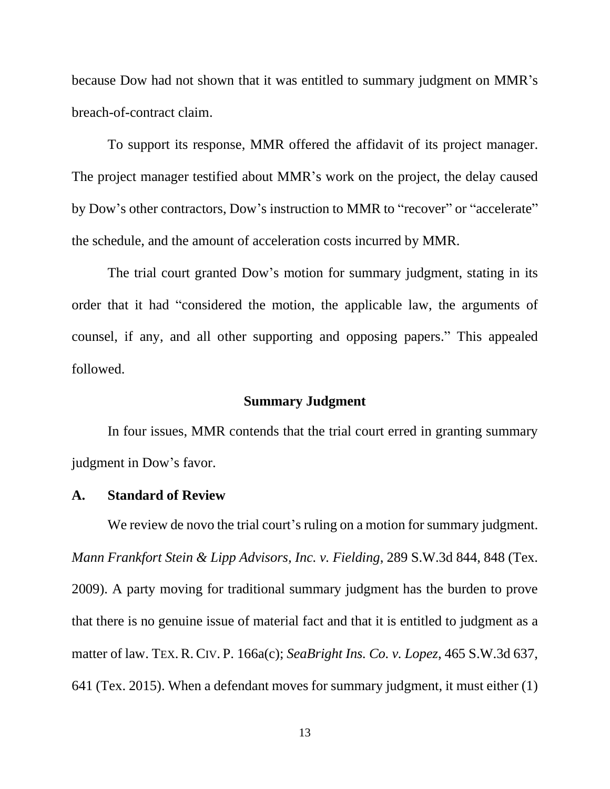because Dow had not shown that it was entitled to summary judgment on MMR's breach-of-contract claim.

To support its response, MMR offered the affidavit of its project manager. The project manager testified about MMR's work on the project, the delay caused by Dow's other contractors, Dow's instruction to MMR to "recover" or "accelerate" the schedule, and the amount of acceleration costs incurred by MMR.

The trial court granted Dow's motion for summary judgment, stating in its order that it had "considered the motion, the applicable law, the arguments of counsel, if any, and all other supporting and opposing papers." This appealed followed.

### **Summary Judgment**

In four issues, MMR contends that the trial court erred in granting summary judgment in Dow's favor.

## **A. Standard of Review**

We review de novo the trial court's ruling on a motion for summary judgment. *Mann Frankfort Stein & Lipp Advisors, Inc. v. Fielding*, 289 S.W.3d 844, 848 (Tex. 2009). A party moving for traditional summary judgment has the burden to prove that there is no genuine issue of material fact and that it is entitled to judgment as a matter of law. TEX. R. CIV. P. 166a(c); *SeaBright Ins. Co. v. Lopez*, 465 S.W.3d 637, 641 (Tex. 2015). When a defendant moves for summary judgment, it must either (1)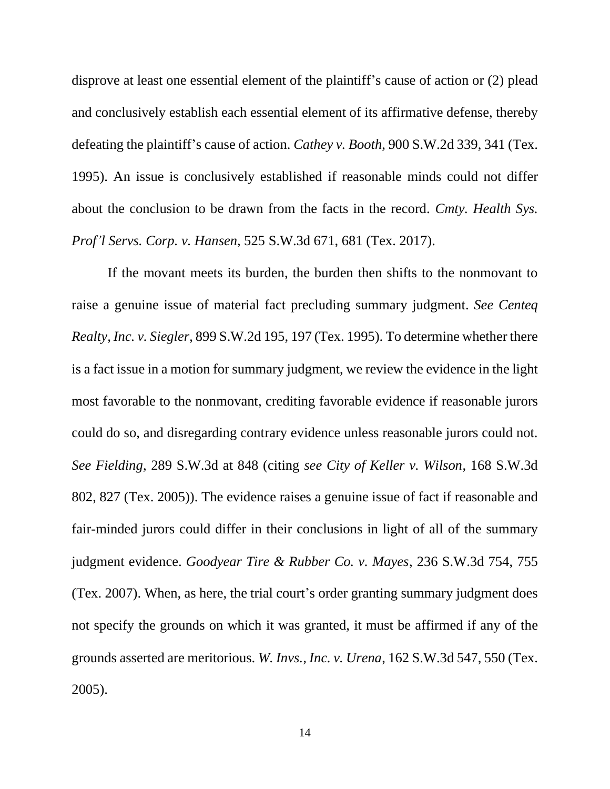disprove at least one essential element of the plaintiff's cause of action or (2) plead and conclusively establish each essential element of its affirmative defense, thereby defeating the plaintiff's cause of action. *Cathey v. Booth*, 900 S.W.2d 339, 341 (Tex. 1995). An issue is conclusively established if reasonable minds could not differ about the conclusion to be drawn from the facts in the record. *Cmty. Health Sys. Prof'l Servs. Corp. v. Hansen*, 525 S.W.3d 671, 681 (Tex. 2017).

If the movant meets its burden, the burden then shifts to the nonmovant to raise a genuine issue of material fact precluding summary judgment. *See Centeq Realty, Inc. v. Siegler*, 899 S.W.2d 195, 197 (Tex. 1995). To determine whether there is a fact issue in a motion for summary judgment, we review the evidence in the light most favorable to the nonmovant, crediting favorable evidence if reasonable jurors could do so, and disregarding contrary evidence unless reasonable jurors could not. *See Fielding*, 289 S.W.3d at 848 (citing *see City of Keller v. Wilson*, 168 S.W.3d 802, 827 (Tex. 2005)). The evidence raises a genuine issue of fact if reasonable and fair-minded jurors could differ in their conclusions in light of all of the summary judgment evidence. *Goodyear Tire & Rubber Co. v. Mayes*, 236 S.W.3d 754, 755 (Tex. 2007). When, as here, the trial court's order granting summary judgment does not specify the grounds on which it was granted, it must be affirmed if any of the grounds asserted are meritorious. *W. Invs., Inc. v. Urena*, 162 S.W.3d 547, 550 (Tex. 2005).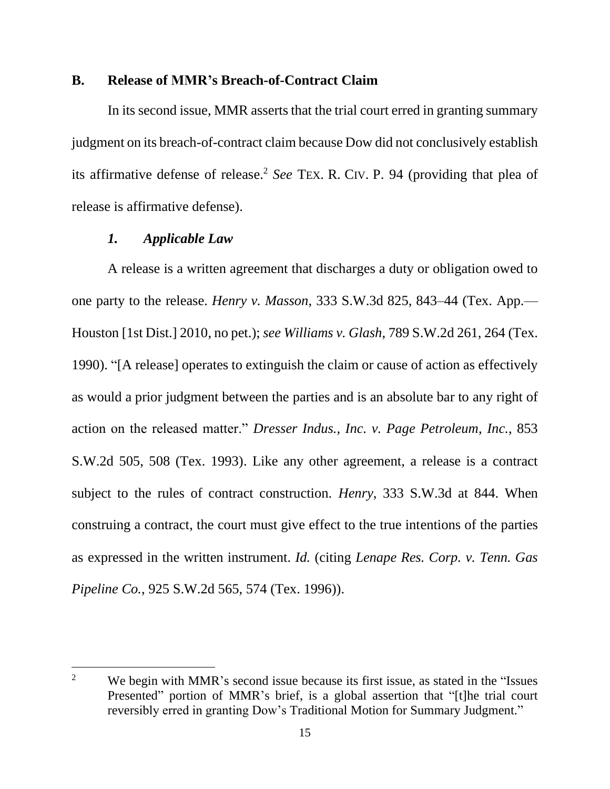#### **B. Release of MMR's Breach-of-Contract Claim**

In its second issue, MMR asserts that the trial court erred in granting summary judgment on its breach-of-contract claim because Dow did not conclusively establish its affirmative defense of release. <sup>2</sup> *See* TEX. R. CIV. P. 94 (providing that plea of release is affirmative defense).

#### *1. Applicable Law*

A release is a written agreement that discharges a duty or obligation owed to one party to the release. *Henry v. Masson*, 333 S.W.3d 825, 843–44 (Tex. App.— Houston [1st Dist.] 2010, no pet.); *see Williams v. Glash*, 789 S.W.2d 261, 264 (Tex. 1990). "[A release] operates to extinguish the claim or cause of action as effectively as would a prior judgment between the parties and is an absolute bar to any right of action on the released matter." *Dresser Indus., Inc. v. Page Petroleum*, *Inc.*, 853 S.W.2d 505, 508 (Tex. 1993). Like any other agreement, a release is a contract subject to the rules of contract construction. *Henry*, 333 S.W.3d at 844. When construing a contract, the court must give effect to the true intentions of the parties as expressed in the written instrument. *Id.* (citing *Lenape Res. Corp. v. Tenn. Gas Pipeline Co.*, 925 S.W.2d 565, 574 (Tex. 1996)).

<sup>&</sup>lt;sup>2</sup> We begin with MMR's second issue because its first issue, as stated in the "Issues" Presented" portion of MMR's brief, is a global assertion that "[t]he trial court reversibly erred in granting Dow's Traditional Motion for Summary Judgment."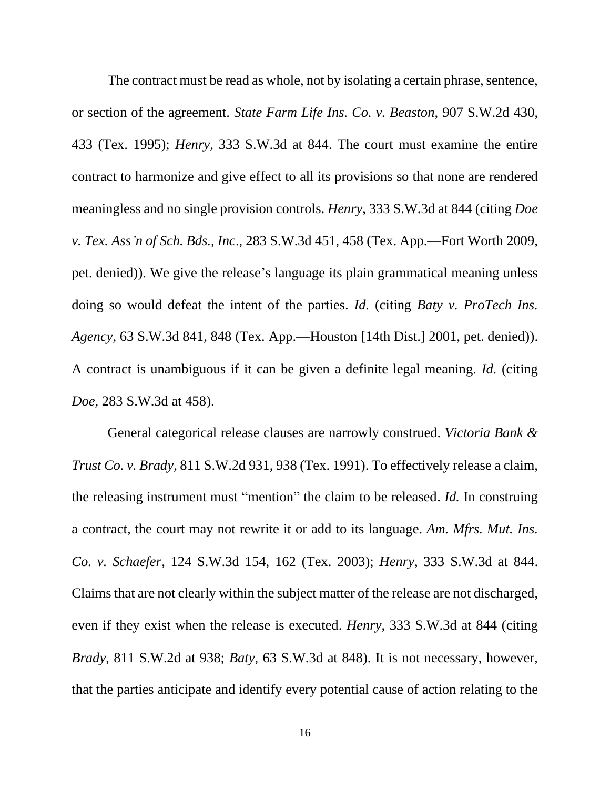The contract must be read as whole, not by isolating a certain phrase, sentence, or section of the agreement. *State Farm Life Ins. Co. v. Beaston*, 907 S.W.2d 430, 433 (Tex. 1995); *Henry*, 333 S.W.3d at 844. The court must examine the entire contract to harmonize and give effect to all its provisions so that none are rendered meaningless and no single provision controls. *Henry*, 333 S.W.3d at 844 (citing *Doe v. Tex. Ass'n of Sch. Bds., Inc*., 283 S.W.3d 451, 458 (Tex. App.—Fort Worth 2009, pet. denied)). We give the release's language its plain grammatical meaning unless doing so would defeat the intent of the parties. *Id.* (citing *Baty v. ProTech Ins. Agency*, 63 S.W.3d 841, 848 (Tex. App.—Houston [14th Dist.] 2001, pet. denied)). A contract is unambiguous if it can be given a definite legal meaning. *Id.* (citing *Doe*, 283 S.W.3d at 458).

General categorical release clauses are narrowly construed. *Victoria Bank & Trust Co. v. Brady*, 811 S.W.2d 931, 938 (Tex. 1991). To effectively release a claim, the releasing instrument must "mention" the claim to be released. *Id.* In construing a contract, the court may not rewrite it or add to its language. *Am. Mfrs. Mut. Ins. Co. v. Schaefer*, 124 S.W.3d 154, 162 (Tex. 2003); *Henry*, 333 S.W.3d at 844. Claims that are not clearly within the subject matter of the release are not discharged, even if they exist when the release is executed. *Henry*, 333 S.W.3d at 844 (citing *Brady*, 811 S.W.2d at 938; *Baty*, 63 S.W.3d at 848). It is not necessary, however, that the parties anticipate and identify every potential cause of action relating to the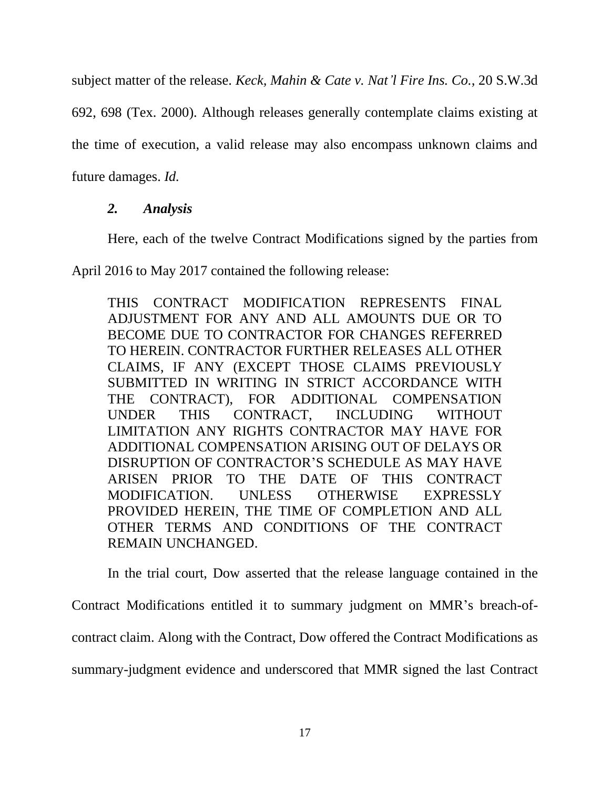subject matter of the release. *Keck, Mahin & Cate v. Nat'l Fire Ins. Co.*, 20 S.W.3d

692, 698 (Tex. 2000). Although releases generally contemplate claims existing at

the time of execution, a valid release may also encompass unknown claims and

future damages. *Id.*

## *2. Analysis*

Here, each of the twelve Contract Modifications signed by the parties from

April 2016 to May 2017 contained the following release:

THIS CONTRACT MODIFICATION REPRESENTS FINAL ADJUSTMENT FOR ANY AND ALL AMOUNTS DUE OR TO BECOME DUE TO CONTRACTOR FOR CHANGES REFERRED TO HEREIN. CONTRACTOR FURTHER RELEASES ALL OTHER CLAIMS, IF ANY (EXCEPT THOSE CLAIMS PREVIOUSLY SUBMITTED IN WRITING IN STRICT ACCORDANCE WITH THE CONTRACT), FOR ADDITIONAL COMPENSATION UNDER THIS CONTRACT, INCLUDING WITHOUT LIMITATION ANY RIGHTS CONTRACTOR MAY HAVE FOR ADDITIONAL COMPENSATION ARISING OUT OF DELAYS OR DISRUPTION OF CONTRACTOR'S SCHEDULE AS MAY HAVE ARISEN PRIOR TO THE DATE OF THIS CONTRACT MODIFICATION. UNLESS OTHERWISE EXPRESSLY PROVIDED HEREIN, THE TIME OF COMPLETION AND ALL OTHER TERMS AND CONDITIONS OF THE CONTRACT REMAIN UNCHANGED.

In the trial court, Dow asserted that the release language contained in the Contract Modifications entitled it to summary judgment on MMR's breach-ofcontract claim. Along with the Contract, Dow offered the Contract Modifications as summary-judgment evidence and underscored that MMR signed the last Contract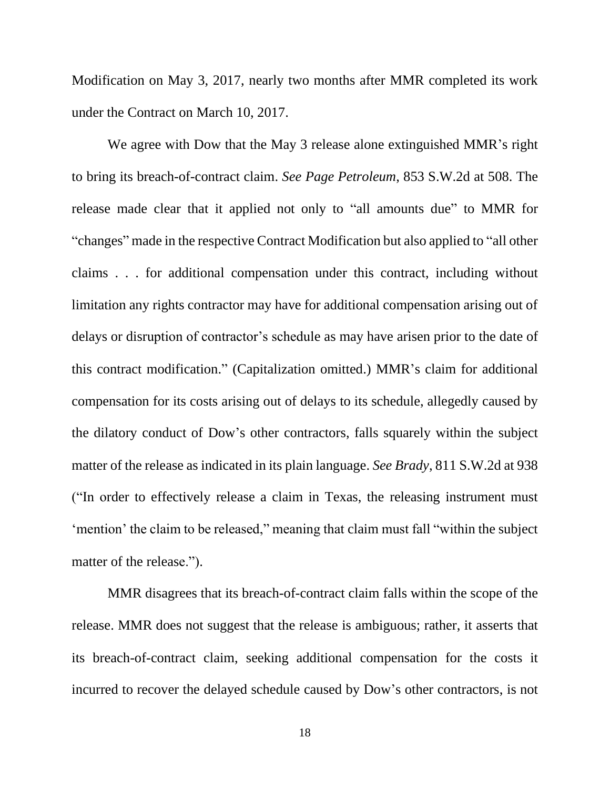Modification on May 3, 2017, nearly two months after MMR completed its work under the Contract on March 10, 2017.

We agree with Dow that the May 3 release alone extinguished MMR's right to bring its breach-of-contract claim. *See Page Petroleum*, 853 S.W.2d at 508. The release made clear that it applied not only to "all amounts due" to MMR for "changes" made in the respective Contract Modification but also applied to "all other claims . . . for additional compensation under this contract, including without limitation any rights contractor may have for additional compensation arising out of delays or disruption of contractor's schedule as may have arisen prior to the date of this contract modification." (Capitalization omitted.) MMR's claim for additional compensation for its costs arising out of delays to its schedule, allegedly caused by the dilatory conduct of Dow's other contractors, falls squarely within the subject matter of the release as indicated in its plain language. *See Brady*, 811 S.W.2d at 938 ("In order to effectively release a claim in Texas, the releasing instrument must 'mention' the claim to be released," meaning that claim must fall "within the subject matter of the release.").

MMR disagrees that its breach-of-contract claim falls within the scope of the release. MMR does not suggest that the release is ambiguous; rather, it asserts that its breach-of-contract claim, seeking additional compensation for the costs it incurred to recover the delayed schedule caused by Dow's other contractors, is not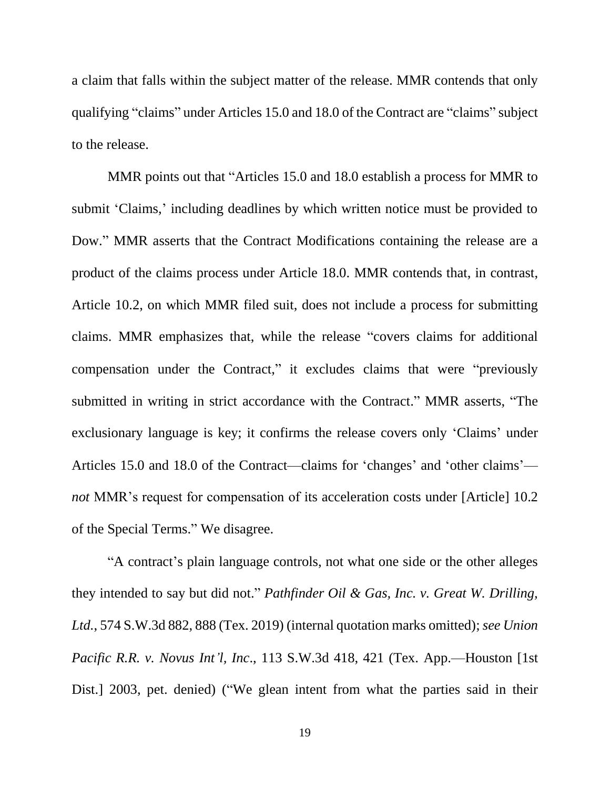a claim that falls within the subject matter of the release. MMR contends that only qualifying "claims" under Articles 15.0 and 18.0 of the Contract are "claims" subject to the release.

MMR points out that "Articles 15.0 and 18.0 establish a process for MMR to submit 'Claims,' including deadlines by which written notice must be provided to Dow." MMR asserts that the Contract Modifications containing the release are a product of the claims process under Article 18.0. MMR contends that, in contrast, Article 10.2, on which MMR filed suit, does not include a process for submitting claims. MMR emphasizes that, while the release "covers claims for additional compensation under the Contract," it excludes claims that were "previously submitted in writing in strict accordance with the Contract." MMR asserts, "The exclusionary language is key; it confirms the release covers only 'Claims' under Articles 15.0 and 18.0 of the Contract—claims for 'changes' and 'other claims' *not* MMR's request for compensation of its acceleration costs under [Article] 10.2 of the Special Terms." We disagree.

"A contract's plain language controls, not what one side or the other alleges they intended to say but did not." *Pathfinder Oil & Gas, Inc. v. Great W. Drilling, Ltd.*, 574 S.W.3d 882, 888 (Tex. 2019) (internal quotation marks omitted); *see Union Pacific R.R. v. Novus Int'l, Inc*., 113 S.W.3d 418, 421 (Tex. App.—Houston [1st Dist.] 2003, pet. denied) ("We glean intent from what the parties said in their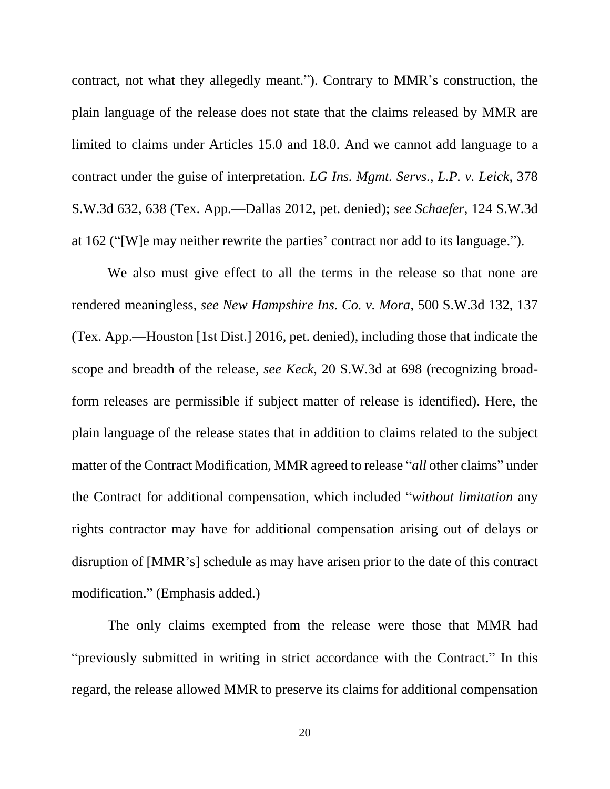contract, not what they allegedly meant."). Contrary to MMR's construction, the plain language of the release does not state that the claims released by MMR are limited to claims under Articles 15.0 and 18.0. And we cannot add language to a contract under the guise of interpretation. *LG Ins. Mgmt. Servs., L.P. v. Leick*, 378 S.W.3d 632, 638 (Tex. App.—Dallas 2012, pet. denied); *see Schaefer*, 124 S.W.3d at 162 ("[W]e may neither rewrite the parties' contract nor add to its language.").

We also must give effect to all the terms in the release so that none are rendered meaningless, *see New Hampshire Ins. Co. v. Mora*, 500 S.W.3d 132, 137 (Tex. App.—Houston [1st Dist.] 2016, pet. denied), including those that indicate the scope and breadth of the release, *see Keck*, 20 S.W.3d at 698 (recognizing broadform releases are permissible if subject matter of release is identified). Here, the plain language of the release states that in addition to claims related to the subject matter of the Contract Modification, MMR agreed to release "*all* other claims" under the Contract for additional compensation, which included "*without limitation* any rights contractor may have for additional compensation arising out of delays or disruption of [MMR's] schedule as may have arisen prior to the date of this contract modification." (Emphasis added.)

The only claims exempted from the release were those that MMR had "previously submitted in writing in strict accordance with the Contract." In this regard, the release allowed MMR to preserve its claims for additional compensation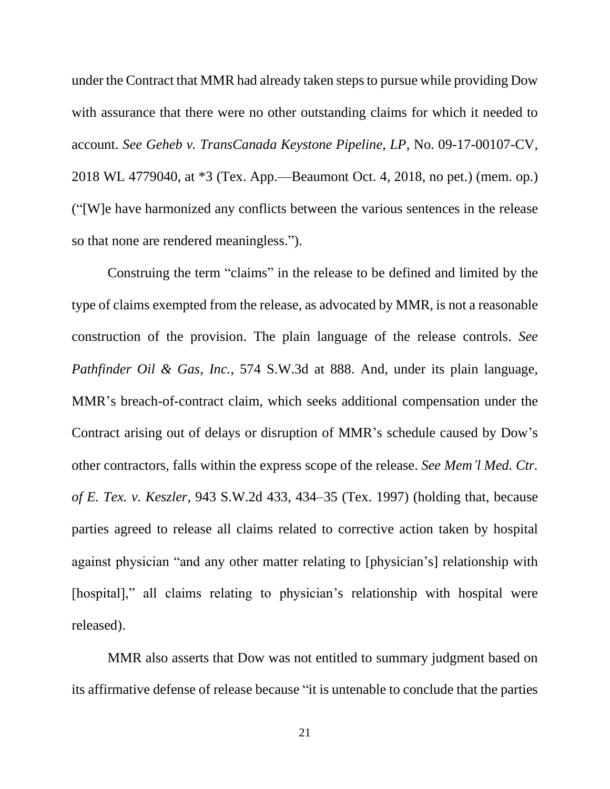under the Contract that MMR had already taken steps to pursue while providing Dow with assurance that there were no other outstanding claims for which it needed to account. *See Geheb v. TransCanada Keystone Pipeline, LP*, No. 09-17-00107-CV, 2018 WL 4779040, at \*3 (Tex. App.—Beaumont Oct. 4, 2018, no pet.) (mem. op.) ("[W]e have harmonized any conflicts between the various sentences in the release so that none are rendered meaningless.").

Construing the term "claims" in the release to be defined and limited by the type of claims exempted from the release, as advocated by MMR, is not a reasonable construction of the provision. The plain language of the release controls. *See Pathfinder Oil & Gas, Inc.*, 574 S.W.3d at 888. And, under its plain language, MMR's breach-of-contract claim, which seeks additional compensation under the Contract arising out of delays or disruption of MMR's schedule caused by Dow's other contractors, falls within the express scope of the release. *See Mem'l Med. Ctr. of E. Tex. v. Keszler*, 943 S.W.2d 433, 434–35 (Tex. 1997) (holding that, because parties agreed to release all claims related to corrective action taken by hospital against physician "and any other matter relating to [physician's] relationship with [hospital]," all claims relating to physician's relationship with hospital were released).

MMR also asserts that Dow was not entitled to summary judgment based on its affirmative defense of release because "it is untenable to conclude that the parties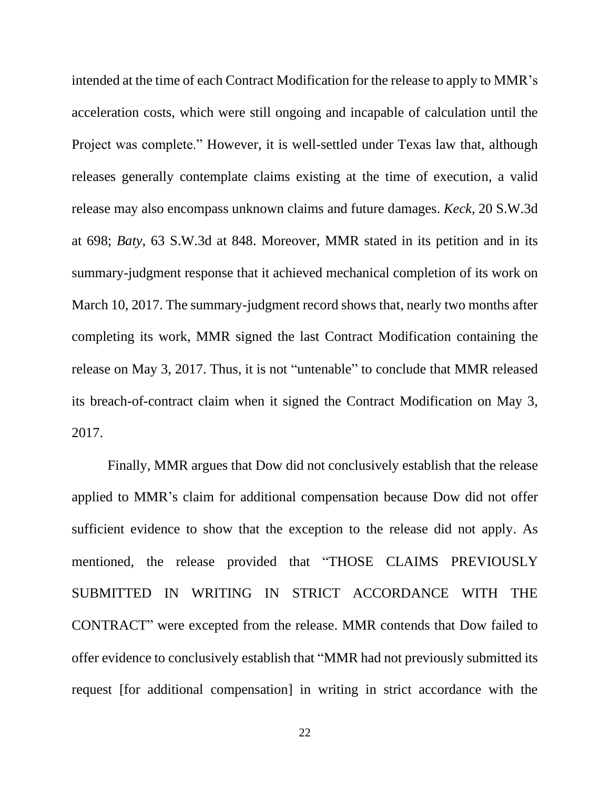intended at the time of each Contract Modification for the release to apply to MMR's acceleration costs, which were still ongoing and incapable of calculation until the Project was complete." However, it is well-settled under Texas law that, although releases generally contemplate claims existing at the time of execution, a valid release may also encompass unknown claims and future damages. *Keck*, 20 S.W.3d at 698; *Baty*, 63 S.W.3d at 848. Moreover, MMR stated in its petition and in its summary-judgment response that it achieved mechanical completion of its work on March 10, 2017. The summary-judgment record shows that, nearly two months after completing its work, MMR signed the last Contract Modification containing the release on May 3, 2017. Thus, it is not "untenable" to conclude that MMR released its breach-of-contract claim when it signed the Contract Modification on May 3, 2017.

Finally, MMR argues that Dow did not conclusively establish that the release applied to MMR's claim for additional compensation because Dow did not offer sufficient evidence to show that the exception to the release did not apply. As mentioned, the release provided that "THOSE CLAIMS PREVIOUSLY SUBMITTED IN WRITING IN STRICT ACCORDANCE WITH THE CONTRACT" were excepted from the release. MMR contends that Dow failed to offer evidence to conclusively establish that "MMR had not previously submitted its request [for additional compensation] in writing in strict accordance with the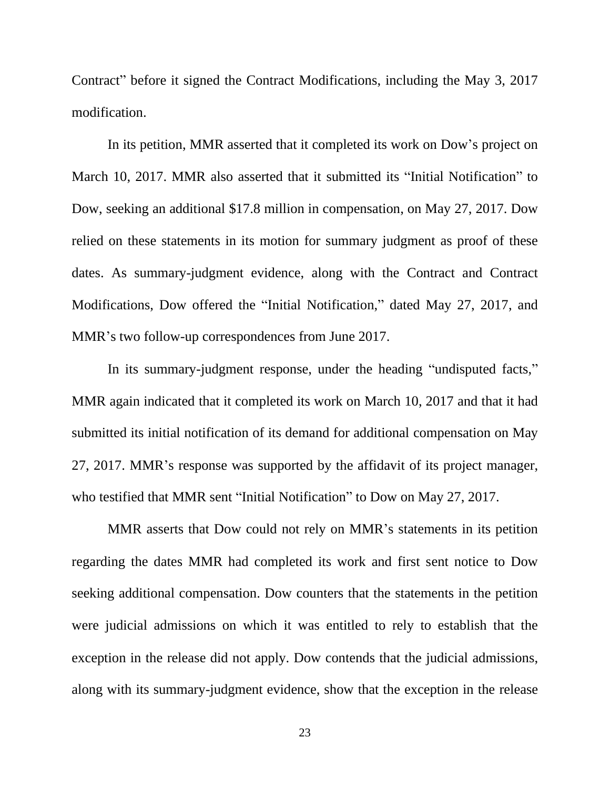Contract" before it signed the Contract Modifications, including the May 3, 2017 modification.

In its petition, MMR asserted that it completed its work on Dow's project on March 10, 2017. MMR also asserted that it submitted its "Initial Notification" to Dow, seeking an additional \$17.8 million in compensation, on May 27, 2017. Dow relied on these statements in its motion for summary judgment as proof of these dates. As summary-judgment evidence, along with the Contract and Contract Modifications, Dow offered the "Initial Notification," dated May 27, 2017, and MMR's two follow-up correspondences from June 2017.

In its summary-judgment response, under the heading "undisputed facts," MMR again indicated that it completed its work on March 10, 2017 and that it had submitted its initial notification of its demand for additional compensation on May 27, 2017. MMR's response was supported by the affidavit of its project manager, who testified that MMR sent "Initial Notification" to Dow on May 27, 2017.

MMR asserts that Dow could not rely on MMR's statements in its petition regarding the dates MMR had completed its work and first sent notice to Dow seeking additional compensation. Dow counters that the statements in the petition were judicial admissions on which it was entitled to rely to establish that the exception in the release did not apply. Dow contends that the judicial admissions, along with its summary-judgment evidence, show that the exception in the release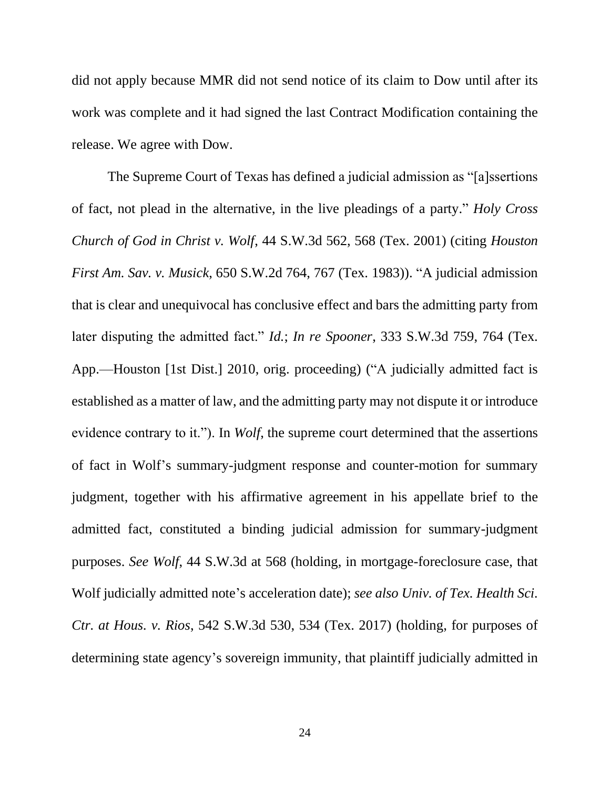did not apply because MMR did not send notice of its claim to Dow until after its work was complete and it had signed the last Contract Modification containing the release. We agree with Dow.

The Supreme Court of Texas has defined a judicial admission as "[a]ssertions of fact, not plead in the alternative, in the live pleadings of a party." *Holy Cross Church of God in Christ v. Wolf*, 44 S.W.3d 562, 568 (Tex. 2001) (citing *Houston First Am. Sav. v. Musick*, 650 S.W.2d 764, 767 (Tex. 1983)). "A judicial admission that is clear and unequivocal has conclusive effect and bars the admitting party from later disputing the admitted fact." *Id.*; *In re Spooner*, 333 S.W.3d 759, 764 (Tex. App.—Houston [1st Dist.] 2010, orig. proceeding) ("A judicially admitted fact is established as a matter of law, and the admitting party may not dispute it or introduce evidence contrary to it."). In *Wolf*, the supreme court determined that the assertions of fact in Wolf's summary-judgment response and counter-motion for summary judgment, together with his affirmative agreement in his appellate brief to the admitted fact, constituted a binding judicial admission for summary-judgment purposes. *See Wolf*, 44 S.W.3d at 568 (holding, in mortgage-foreclosure case, that Wolf judicially admitted note's acceleration date); *see also Univ. of Tex. Health Sci. Ctr. at Hous. v. Rios*, 542 S.W.3d 530, 534 (Tex. 2017) (holding, for purposes of determining state agency's sovereign immunity, that plaintiff judicially admitted in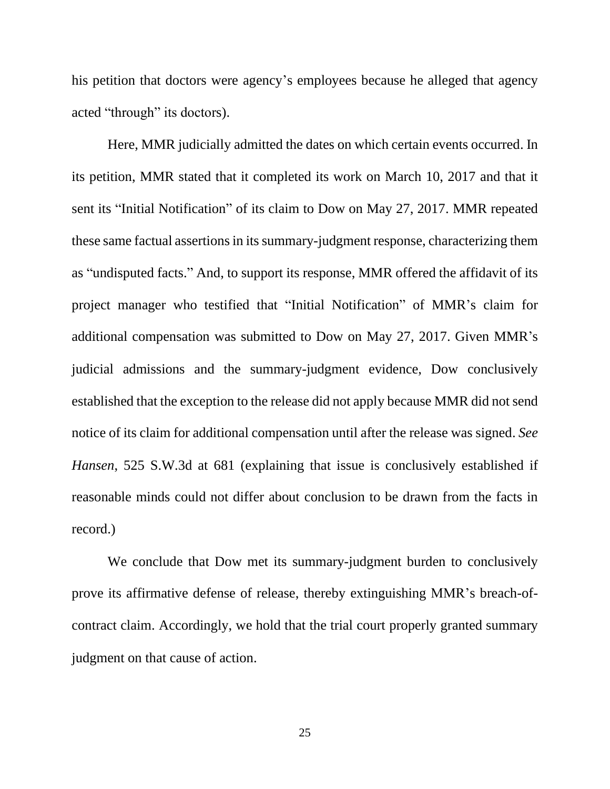his petition that doctors were agency's employees because he alleged that agency acted "through" its doctors).

Here, MMR judicially admitted the dates on which certain events occurred. In its petition, MMR stated that it completed its work on March 10, 2017 and that it sent its "Initial Notification" of its claim to Dow on May 27, 2017. MMR repeated these same factual assertions in its summary-judgment response, characterizing them as "undisputed facts." And, to support its response, MMR offered the affidavit of its project manager who testified that "Initial Notification" of MMR's claim for additional compensation was submitted to Dow on May 27, 2017. Given MMR's judicial admissions and the summary-judgment evidence, Dow conclusively established that the exception to the release did not apply because MMR did not send notice of its claim for additional compensation until after the release was signed. *See Hansen*, 525 S.W.3d at 681 (explaining that issue is conclusively established if reasonable minds could not differ about conclusion to be drawn from the facts in record.)

We conclude that Dow met its summary-judgment burden to conclusively prove its affirmative defense of release, thereby extinguishing MMR's breach-ofcontract claim. Accordingly, we hold that the trial court properly granted summary judgment on that cause of action.

25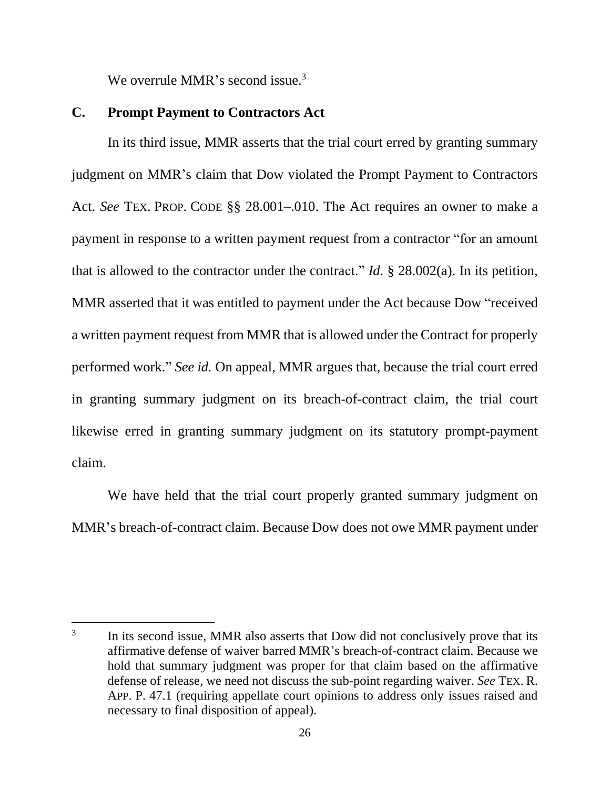We overrule MMR's second issue. $3$ 

## **C. Prompt Payment to Contractors Act**

In its third issue, MMR asserts that the trial court erred by granting summary judgment on MMR's claim that Dow violated the Prompt Payment to Contractors Act. *See* TEX. PROP. CODE §§ 28.001–.010. The Act requires an owner to make a payment in response to a written payment request from a contractor "for an amount that is allowed to the contractor under the contract." *Id.* § 28.002(a). In its petition, MMR asserted that it was entitled to payment under the Act because Dow "received a written payment request from MMR that is allowed under the Contract for properly performed work." *See id.* On appeal, MMR argues that, because the trial court erred in granting summary judgment on its breach-of-contract claim, the trial court likewise erred in granting summary judgment on its statutory prompt-payment claim.

We have held that the trial court properly granted summary judgment on MMR's breach-of-contract claim. Because Dow does not owe MMR payment under

<sup>3</sup> In its second issue, MMR also asserts that Dow did not conclusively prove that its affirmative defense of waiver barred MMR's breach-of-contract claim. Because we hold that summary judgment was proper for that claim based on the affirmative defense of release, we need not discuss the sub-point regarding waiver. *See* TEX. R. APP. P. 47.1 (requiring appellate court opinions to address only issues raised and necessary to final disposition of appeal).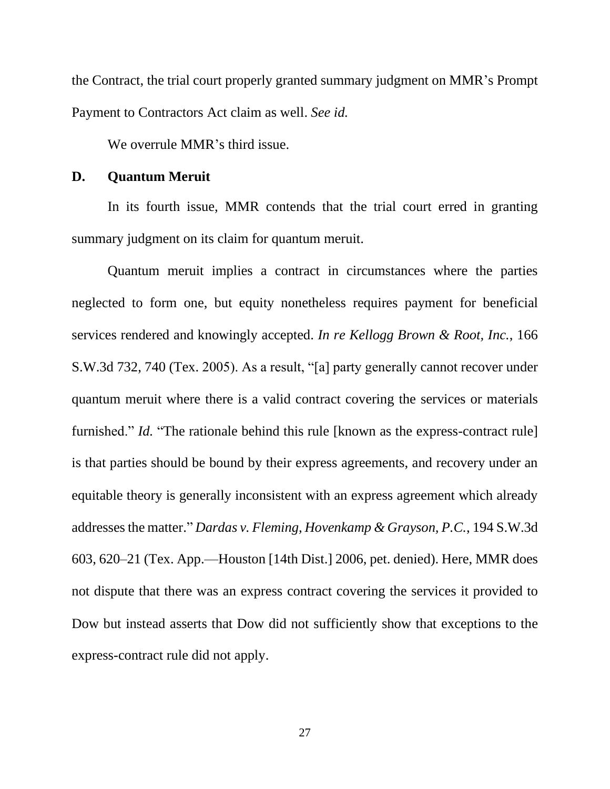the Contract, the trial court properly granted summary judgment on MMR's Prompt Payment to Contractors Act claim as well. *See id.*

We overrule MMR's third issue.

## **D. Quantum Meruit**

In its fourth issue, MMR contends that the trial court erred in granting summary judgment on its claim for quantum meruit.

Quantum meruit implies a contract in circumstances where the parties neglected to form one, but equity nonetheless requires payment for beneficial services rendered and knowingly accepted. *In re Kellogg Brown & Root, Inc.*, 166 S.W.3d 732, 740 (Tex. 2005). As a result, "[a] party generally cannot recover under quantum meruit where there is a valid contract covering the services or materials furnished." *Id.* "The rationale behind this rule [known as the express-contract rule] is that parties should be bound by their express agreements, and recovery under an equitable theory is generally inconsistent with an express agreement which already addresses the matter." *Dardas v. Fleming, Hovenkamp & Grayson, P.C.*, 194 S.W.3d 603, 620–21 (Tex. App.—Houston [14th Dist.] 2006, pet. denied). Here, MMR does not dispute that there was an express contract covering the services it provided to Dow but instead asserts that Dow did not sufficiently show that exceptions to the express-contract rule did not apply.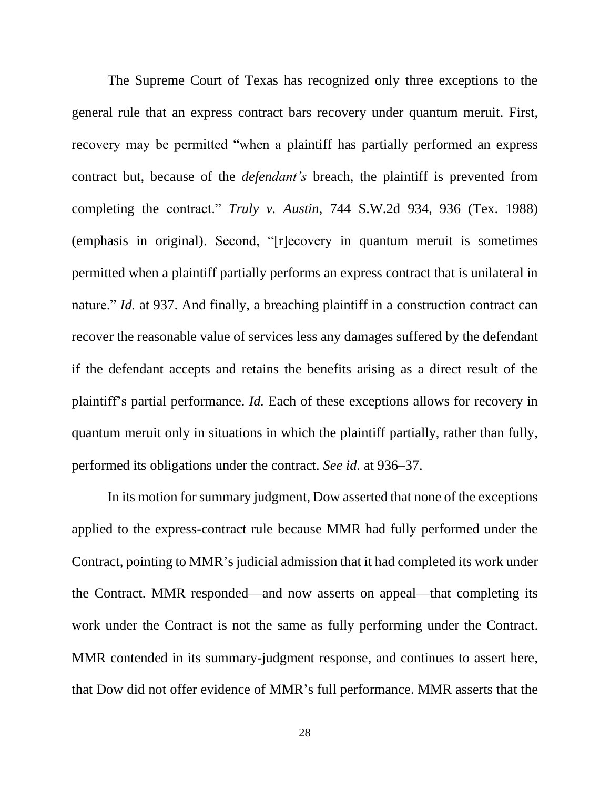The Supreme Court of Texas has recognized only three exceptions to the general rule that an express contract bars recovery under quantum meruit. First, recovery may be permitted "when a plaintiff has partially performed an express contract but, because of the *defendant's* breach, the plaintiff is prevented from completing the contract." *Truly v. Austin*, 744 S.W.2d 934, 936 (Tex. 1988) (emphasis in original). Second, "[r]ecovery in quantum meruit is sometimes permitted when a plaintiff partially performs an express contract that is unilateral in nature." *Id.* at 937. And finally, a breaching plaintiff in a construction contract can recover the reasonable value of services less any damages suffered by the defendant if the defendant accepts and retains the benefits arising as a direct result of the plaintiff's partial performance. *Id.* Each of these exceptions allows for recovery in quantum meruit only in situations in which the plaintiff partially, rather than fully, performed its obligations under the contract. *See id.* at 936–37.

In its motion for summary judgment, Dow asserted that none of the exceptions applied to the express-contract rule because MMR had fully performed under the Contract, pointing to MMR's judicial admission that it had completed its work under the Contract. MMR responded—and now asserts on appeal—that completing its work under the Contract is not the same as fully performing under the Contract. MMR contended in its summary-judgment response, and continues to assert here, that Dow did not offer evidence of MMR's full performance. MMR asserts that the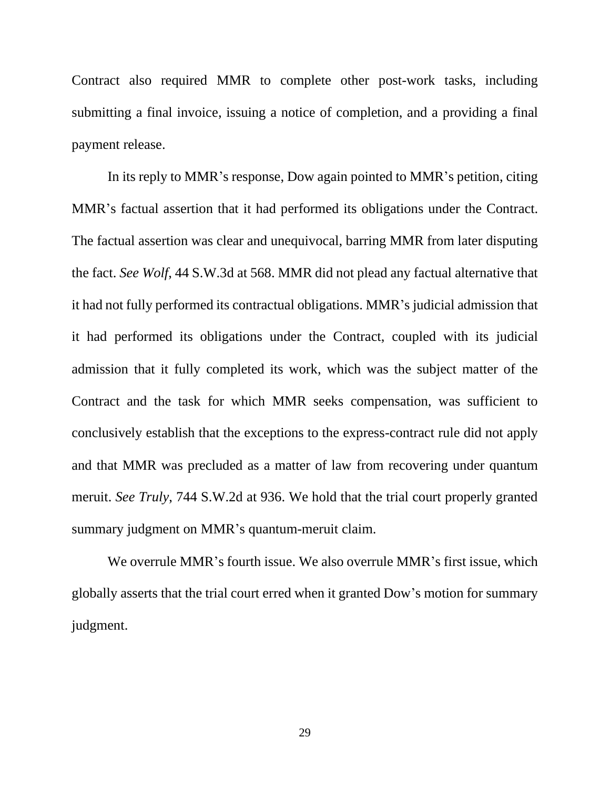Contract also required MMR to complete other post-work tasks, including submitting a final invoice, issuing a notice of completion, and a providing a final payment release.

In its reply to MMR's response, Dow again pointed to MMR's petition, citing MMR's factual assertion that it had performed its obligations under the Contract. The factual assertion was clear and unequivocal, barring MMR from later disputing the fact. *See Wolf*, 44 S.W.3d at 568. MMR did not plead any factual alternative that it had not fully performed its contractual obligations. MMR's judicial admission that it had performed its obligations under the Contract, coupled with its judicial admission that it fully completed its work, which was the subject matter of the Contract and the task for which MMR seeks compensation, was sufficient to conclusively establish that the exceptions to the express-contract rule did not apply and that MMR was precluded as a matter of law from recovering under quantum meruit. *See Truly*, 744 S.W.2d at 936. We hold that the trial court properly granted summary judgment on MMR's quantum-meruit claim.

We overrule MMR's fourth issue. We also overrule MMR's first issue, which globally asserts that the trial court erred when it granted Dow's motion for summary judgment.